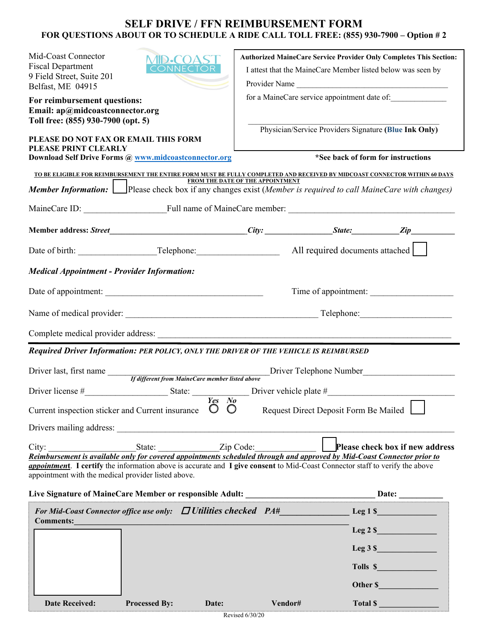# **SELF DRIVE / FFN REIMBURSEMENT FORM FOR QUESTIONS ABOUT OR TO SCHEDULE A RIDE CALL TOLL FREE: (855) 930-7900 – Option # 2**

| Mid-Coast Connector<br>ID•COAS<br><b>Fiscal Department</b><br><b>CONNECTOR</b><br>9 Field Street, Suite 201<br>Belfast, ME 04915<br>For reimbursement questions:<br>Email: ap@midcoastconnector.org<br>Toll free: (855) 930-7900 (opt. 5)<br>PLEASE DO NOT FAX OR EMAIL THIS FORM<br>PLEASE PRINT CLEARLY                                           |                                  | I attest that the MaineCare Member listed below was seen by<br>Provider Name<br>for a MaineCare service appointment date of:<br>Physician/Service Providers Signature (Blue Ink Only) | Authorized MaineCare Service Provider Only Completes This Section:                                                                                                                                                                   |
|-----------------------------------------------------------------------------------------------------------------------------------------------------------------------------------------------------------------------------------------------------------------------------------------------------------------------------------------------------|----------------------------------|---------------------------------------------------------------------------------------------------------------------------------------------------------------------------------------|--------------------------------------------------------------------------------------------------------------------------------------------------------------------------------------------------------------------------------------|
| Download Self Drive Forms @ www.midcoastconnector.org                                                                                                                                                                                                                                                                                               |                                  |                                                                                                                                                                                       | *See back of form for instructions                                                                                                                                                                                                   |
| TO BE ELIGIBLE FOR REIMBURSEMENT THE ENTIRE FORM MUST BE FULLY COMPLETED AND RECEIVED BY MIDCOAST CONNECTOR WITHIN 60 DAYS                                                                                                                                                                                                                          | FROM THE DATE OF THE APPOINTMENT |                                                                                                                                                                                       |                                                                                                                                                                                                                                      |
| Member Information: Please check box if any changes exist (Member is required to call MaineCare with changes)                                                                                                                                                                                                                                       |                                  |                                                                                                                                                                                       |                                                                                                                                                                                                                                      |
|                                                                                                                                                                                                                                                                                                                                                     |                                  |                                                                                                                                                                                       |                                                                                                                                                                                                                                      |
|                                                                                                                                                                                                                                                                                                                                                     |                                  |                                                                                                                                                                                       |                                                                                                                                                                                                                                      |
|                                                                                                                                                                                                                                                                                                                                                     |                                  |                                                                                                                                                                                       |                                                                                                                                                                                                                                      |
| <b>Medical Appointment - Provider Information:</b>                                                                                                                                                                                                                                                                                                  |                                  |                                                                                                                                                                                       |                                                                                                                                                                                                                                      |
|                                                                                                                                                                                                                                                                                                                                                     | Time of appointment:             |                                                                                                                                                                                       |                                                                                                                                                                                                                                      |
|                                                                                                                                                                                                                                                                                                                                                     |                                  |                                                                                                                                                                                       |                                                                                                                                                                                                                                      |
|                                                                                                                                                                                                                                                                                                                                                     |                                  |                                                                                                                                                                                       |                                                                                                                                                                                                                                      |
| Required Driver Information: PER POLICY, ONLY THE DRIVER OF THE VEHICLE IS REIMBURSED                                                                                                                                                                                                                                                               |                                  |                                                                                                                                                                                       |                                                                                                                                                                                                                                      |
| Driver last, first name<br>If different from MaineCare member listed above                                                                                                                                                                                                                                                                          | Driver Telephone Number          |                                                                                                                                                                                       |                                                                                                                                                                                                                                      |
|                                                                                                                                                                                                                                                                                                                                                     |                                  |                                                                                                                                                                                       |                                                                                                                                                                                                                                      |
| Current inspection sticker and Current insurance                                                                                                                                                                                                                                                                                                    | $Yes$ No<br>$\circ$<br>$\circ$   | Request Direct Deposit Form Be Mailed                                                                                                                                                 | <u>in the contract of the contract of the contract of the contract of the contract of the contract of the contract of the contract of the contract of the contract of the contract of the contract of the contract of the contra</u> |
| Drivers mailing address:                                                                                                                                                                                                                                                                                                                            |                                  |                                                                                                                                                                                       |                                                                                                                                                                                                                                      |
| City:<br>State: Zip Code:<br>Reimbursement is available only for covered appointments scheduled through and approved by Mid-Coast Connector prior to<br><b>appointment</b> . I certify the information above is accurate and I give consent to Mid-Coast Connector staff to verify the above<br>appointment with the medical provider listed above. |                                  |                                                                                                                                                                                       | Please check box if new address                                                                                                                                                                                                      |
|                                                                                                                                                                                                                                                                                                                                                     |                                  |                                                                                                                                                                                       |                                                                                                                                                                                                                                      |
| For Mid-Coast Connector office use only: $\Box$ Utilities checked $PA#$ Leg 1 \Square Leg 1 \Square Leg 1 \Square Leg 1 \Square Leg 1 \Square Leg 1 \Square Leg 1 \Square Leg 1 \Square Leg 1 \Square Leg 1 \Square Leg 1 \Squar<br><b>Comments:</b>                                                                                                |                                  |                                                                                                                                                                                       |                                                                                                                                                                                                                                      |
|                                                                                                                                                                                                                                                                                                                                                     |                                  |                                                                                                                                                                                       | $Leg 2 \$                                                                                                                                                                                                                            |
|                                                                                                                                                                                                                                                                                                                                                     |                                  |                                                                                                                                                                                       |                                                                                                                                                                                                                                      |
|                                                                                                                                                                                                                                                                                                                                                     |                                  |                                                                                                                                                                                       | Tolls \$                                                                                                                                                                                                                             |
|                                                                                                                                                                                                                                                                                                                                                     |                                  |                                                                                                                                                                                       | Other \$                                                                                                                                                                                                                             |
| <b>Date Received:</b><br><b>Processed By:</b>                                                                                                                                                                                                                                                                                                       | Date:                            | Vendor#                                                                                                                                                                               | Total \$                                                                                                                                                                                                                             |

Revised 6/30/20